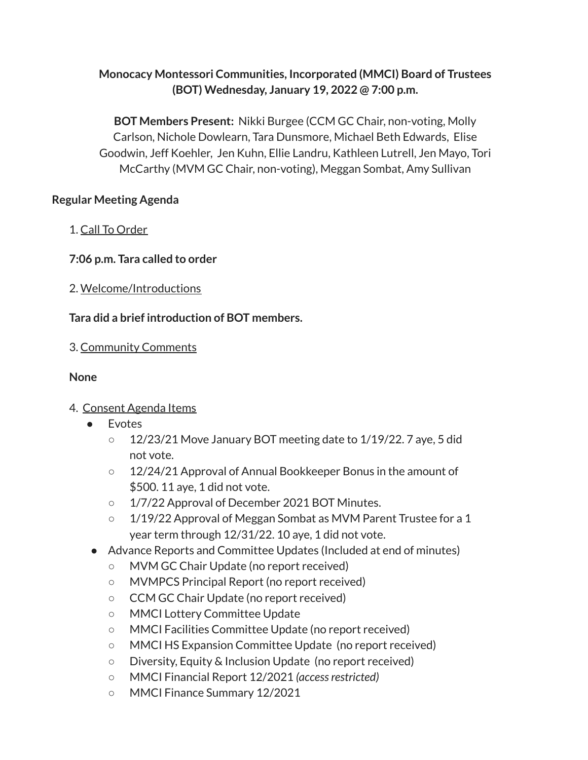# **Monocacy Montessori Communities, Incorporated (MMCI) Board of Trustees (BOT) Wednesday, January 19, 2022 @ 7:00 p.m.**

**BOT Members Present:** Nikki Burgee (CCM GC Chair, non-voting, Molly Carlson, Nichole Dowlearn, Tara Dunsmore, Michael Beth Edwards, Elise Goodwin, Jeff Koehler, Jen Kuhn, Ellie Landru, Kathleen Lutrell, Jen Mayo, Tori McCarthy (MVM GC Chair, non-voting), Meggan Sombat, Amy Sullivan

## **Regular Meeting Agenda**

- 1. Call To Order
- **7:06 p.m. Tara called to order**
- 2. Welcome/Introductions

# **Tara did a brief introduction of BOT members.**

3. Community Comments

# **None**

- 4. Consent Agenda Items
	- Evotes
		- $\circ$  12/23/21 Move January BOT meeting date to 1/19/22. 7 aye, 5 did not vote.
		- 12/24/21 Approval of Annual Bookkeeper Bonus in the amount of \$500. 11 aye, 1 did not vote.
		- 1/7/22 Approval of December 2021 BOT Minutes.
		- 1/19/22 Approval of Meggan Sombat as MVM Parent Trustee for a 1 year term through 12/31/22. 10 aye, 1 did not vote.
	- Advance Reports and Committee Updates (Included at end of minutes)
		- MVM GC Chair Update (no report received)
		- MVMPCS Principal Report (no report received)
		- CCM GC Chair Update (no report received)
		- MMCI Lottery Committee Update
		- MMCI Facilities Committee Update (no report received)
		- MMCI HS Expansion Committee Update (no report received)
		- Diversity, Equity & Inclusion Update (no report received)
		- MMCI Financial Report 12/2021 *(accessrestricted)*
		- MMCI Finance Summary 12/2021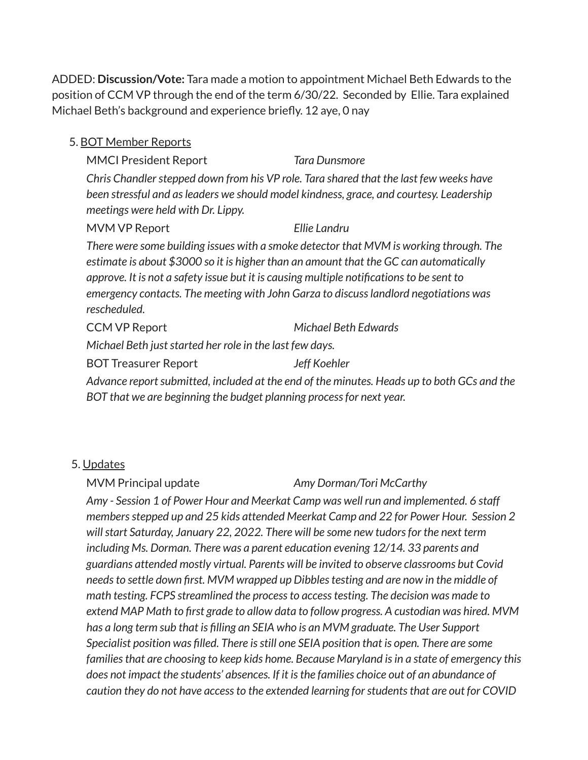ADDED: **Discussion/Vote:** Tara made a motion to appointment Michael Beth Edwards to the position of CCM VP through the end of the term 6/30/22. Seconded by Ellie. Tara explained Michael Beth's background and experience briefly. 12 aye, 0 nay

#### 5. BOT Member Reports

MMCI President Report *Tara Dunsmore Chris Chandlerstepped down from his VP role. Tara shared that the last few weeks have been stressful and asleaders we should model kindness, grace, and courtesy. Leadership meetings were held with Dr. Lippy.*

## MVM VP Report *Ellie Landru*

*There were some building issues with a smoke detector that MVM is working through. The estimate is about \$3000 so it is higher than an amount that the GC can automatically approve. It is not a safety issue but it is causing multiple notificationsto be sent to emergency contacts. The meeting with John Garza to discusslandlord negotiations was rescheduled.*

CCM VP Report *Michael Beth Edwards*

*Michael Beth juststarted her role in the last few days.*

BOT Treasurer Report *Jeff Koehler*

*Advance reportsubmitted, included at the end of the minutes. Heads up to both GCs and the BOT that we are beginning the budget planning processfor next year.*

## 5. Updates

## MVM Principal update *Amy Dorman/Tori McCarthy*

*Amy - Session 1 of Power Hour and Meerkat Camp was well run and implemented. 6 staff membersstepped up and 25 kids attended Meerkat Camp and 22 for Power Hour. Session 2 willstart Saturday, January 22, 2022. There will be some new tudorsfor the next term including Ms. Dorman. There was a parent education evening 12/14. 33 parents and guardians attended mostly virtual. Parents will be invited to observe classrooms but Covid needsto settle down first. MVM wrapped up Dibblestesting and are now in the middle of math testing. FCPS streamlined the processto accesstesting. The decision was made to extend MAP Math to first grade to allow data to follow progress. A custodian was hired. MVM has a long term sub that is filling an SEIA who is an MVM graduate. The User Support Specialist position was filled. There isstill one SEIA position that is open. There are some familiesthat are choosing to keep kids home. Because Maryland isin a state of emergency this does not impact the students' absences. If it isthe families choice out of an abundance of caution they do not have accessto the extended learning forstudentsthat are out for COVID*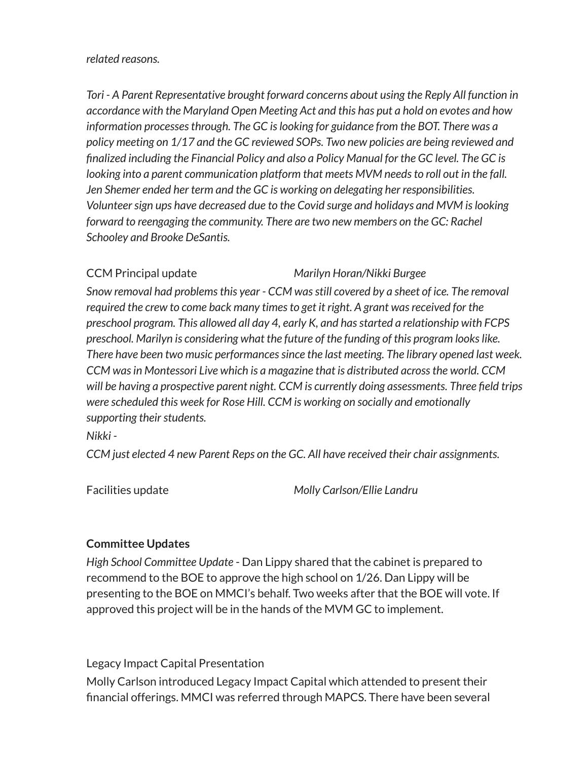#### *related reasons.*

*Tori - A Parent Representative brought forward concerns about using the Reply All function in accordance with the Maryland Open Meeting Act and this has put a hold on evotes and how information processesthrough. The GC islooking for guidance from the BOT. There was a policy meeting on 1/17 and the GC reviewed SOPs. Two new policies are being reviewed and finalized including the Financial Policy and also a Policy Manual for the GC level. The GC is looking into a parent communication platform that meets MVM needsto roll out in the fall. Jen Shemer ended her term and the GC is working on delegating her responsibilities. Volunteersign ups have decreased due to the Covid surge and holidays and MVM islooking forward to reengaging the community. There are two new members on the GC: Rachel Schooley and Brooke DeSantis.*

## CCM Principal update *Marilyn Horan/Nikki Burgee*

*Snow removal had problemsthis year - CCM wasstill covered by a sheet of ice. The removal required the crew to come back many timesto get it right. A grant wasreceived for the preschool program. This allowed all day 4, early K, and hasstarted a relationship with FCPS preschool. Marilyn is considering what the future of the funding of this program lookslike. There have been two music performancessince the last meeting. The library opened last week. CCM wasin Montessori Live which is a magazine that is distributed acrossthe world. CCM will be having a prospective parent night. CCM is currently doing assessments. Three field trips were scheduled this week for Rose Hill. CCM is working on socially and emotionally supporting their students.* 

#### *Nikki -*

*CCM just elected 4 new Parent Reps on the GC. All have received their chair assignments.*

Facilities update *Molly Carlson/Ellie Landru*

## **Committee Updates**

*High School Committee Update* - Dan Lippy shared that the cabinet is prepared to recommend to the BOE to approve the high school on 1/26. Dan Lippy will be presenting to the BOE on MMCI's behalf. Two weeks after that the BOE will vote. If approved this project will be in the hands of the MVM GC to implement.

Legacy Impact Capital Presentation Molly Carlson introduced Legacy Impact Capital which attended to present their financial offerings. MMCI was referred through MAPCS. There have been several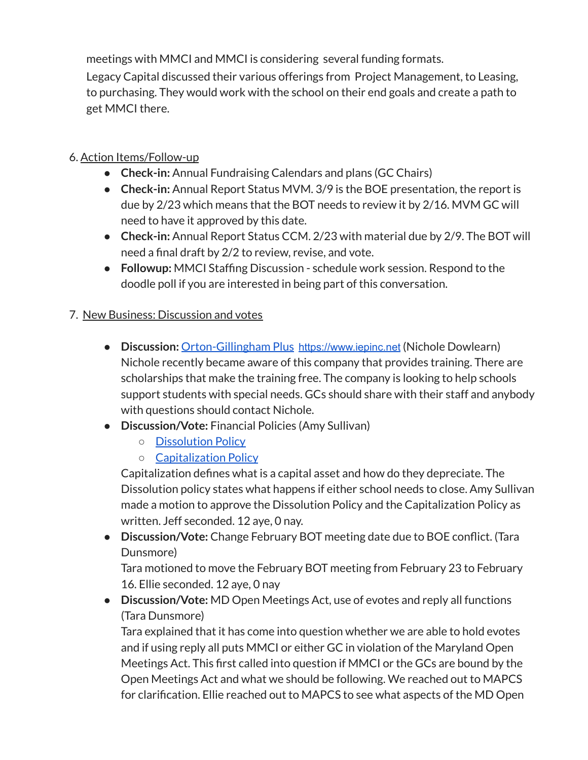meetings with MMCI and MMCI is considering several funding formats.

Legacy Capital discussed their various offerings from Project Management, to Leasing, to purchasing. They would work with the school on their end goals and create a path to get MMCI there.

# 6. Action Items/Follow-up

- **● Check-in:** Annual Fundraising Calendars and plans (GC Chairs)
- **Check-in:** Annual Report Status MVM. 3/9 is the BOE presentation, the report is due by 2/23 which means that the BOT needs to review it by 2/16. MVM GC will need to have it approved by this date.
- **Check-in:** Annual Report Status CCM. 2/23 with material due by 2/9. The BOT will need a final draft by 2/2 to review, revise, and vote.
- **Followup:** MMCI Staffing Discussion schedule work session. Respond to the doodle poll if you are interested in being part of this conversation.

## 7. New Business: Discussion and votes

- **● Discussion:** [Orton-Gillingham](https://drive.google.com/file/d/1T64b9nJJRokYn_xVbn9r9cM_Vk7-vlDa/view?usp=sharing) Plus [https://www.iepinc.net](https://www.iepinc.net/) (Nichole Dowlearn) Nichole recently became aware of this company that provides training. There are scholarships that make the training free. The company is looking to help schools support students with special needs. GCs should share with their staff and anybody with questions should contact Nichole.
- **● Discussion/Vote:** Financial Policies (Amy Sullivan)
	- [Dissolution](https://drive.google.com/file/d/1I_PPuGnVdgrKHM9KIgHkyQMQbPjeStmk/view?usp=sharing) Policy
	- [Capitalization](https://drive.google.com/file/d/1BrAJGuVNMdroJENv7qajH8PDuHx5mhqQ/view?usp=sharing) Policy

Capitalization defines what is a capital asset and how do they depreciate. The Dissolution policy states what happens if either school needs to close. Amy Sullivan made a motion to approve the Dissolution Policy and the Capitalization Policy as written. Jeff seconded. 12 aye, 0 nay.

**● Discussion/Vote:** Change February BOT meeting date due to BOE conflict. (Tara Dunsmore)

Tara motioned to move the February BOT meeting from February 23 to February 16. Ellie seconded. 12 aye, 0 nay

● **Discussion/Vote:** MD Open Meetings Act, use of evotes and reply all functions (Tara Dunsmore)

Tara explained that it has come into question whether we are able to hold evotes and if using reply all puts MMCI or either GC in violation of the Maryland Open Meetings Act. This first called into question if MMCI or the GCs are bound by the Open Meetings Act and what we should be following. We reached out to MAPCS for clarification. Ellie reached out to MAPCS to see what aspects of the MD Open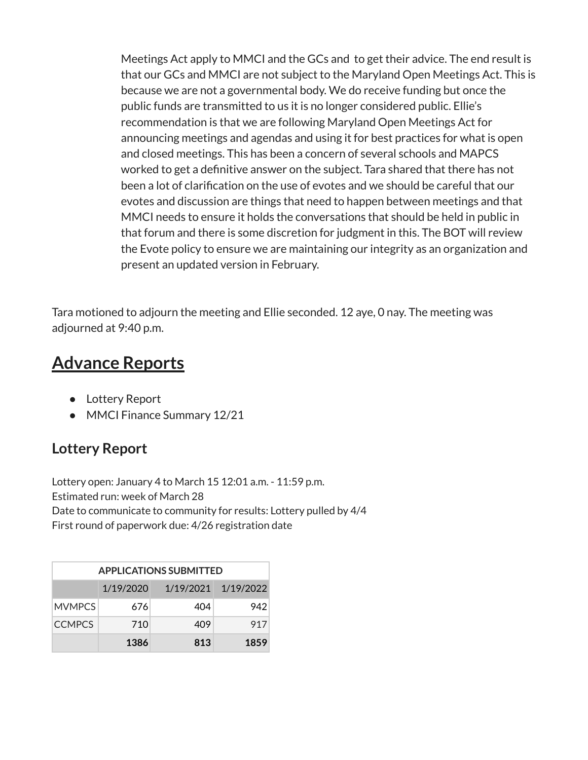Meetings Act apply to MMCI and the GCs and to get their advice. The end result is that our GCs and MMCI are not subject to the Maryland Open Meetings Act. This is because we are not a governmental body. We do receive funding but once the public funds are transmitted to us it is no longer considered public. Ellie's recommendation is that we are following Maryland Open Meetings Act for announcing meetings and agendas and using it for best practices for what is open and closed meetings. This has been a concern of several schools and MAPCS worked to get a definitive answer on the subject. Tara shared that there has not been a lot of clarification on the use of evotes and we should be careful that our evotes and discussion are things that need to happen between meetings and that MMCI needs to ensure it holds the conversations that should be held in public in that forum and there is some discretion for judgment in this. The BOT will review the Evote policy to ensure we are maintaining our integrity as an organization and present an updated version in February.

Tara motioned to adjourn the meeting and Ellie seconded. 12 aye, 0 nay. The meeting was adjourned at 9:40 p.m.

# **Advance Reports**

- Lottery Report
- MMCI Finance Summary 12/21

# **Lottery Report**

Lottery open: January 4 to March 15 12:01 a.m. - 11:59 p.m. Estimated run: week of March 28 Date to communicate to community for results: Lottery pulled by 4/4 First round of paperwork due: 4/26 registration date

| <b>APPLICATIONS SUBMITTED</b> |           |     |                     |
|-------------------------------|-----------|-----|---------------------|
|                               | 1/19/2020 |     | 1/19/2021 1/19/2022 |
| <b>MVMPCS</b>                 | 6761      | 404 | 942                 |
| <b>CCMPCS</b>                 | 710       | 409 | 917                 |
|                               | 1386      | 813 | 1859                |